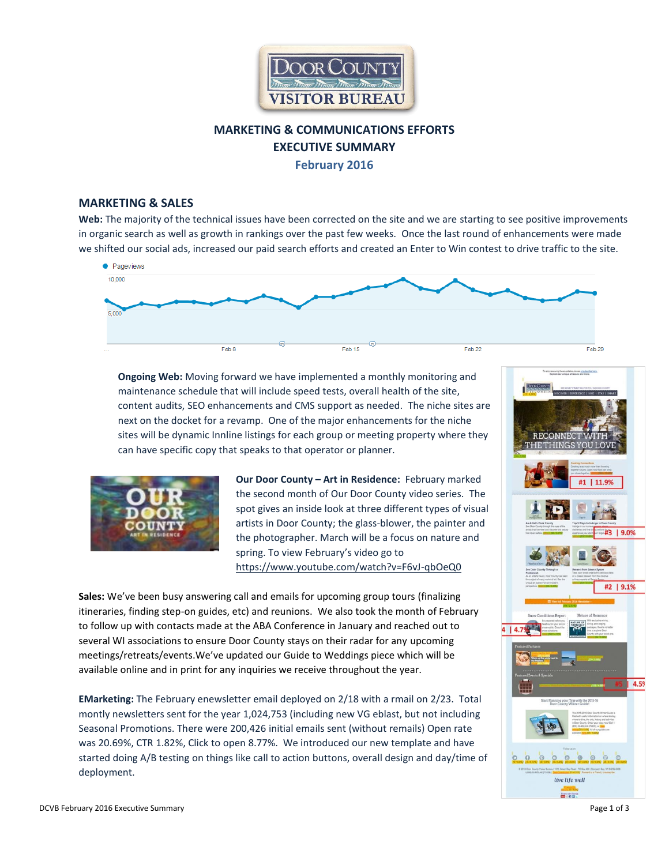

# **MARKETING & COMMUNICATIONS EFFORTS EXECUTIVE SUMMARY February 2016**

## **MARKETING & SALES**

**Web:** The majority of the technical issues have been corrected on the site and we are starting to see positive improvements in organic search as well as growth in rankings over the past few weeks. Once the last round of enhancements were made we shifted our social ads, increased our paid search efforts and created an Enter to Win contest to drive traffic to the site.



**Ongoing Web:** Moving forward we have implemented a monthly monitoring and maintenance schedule that will include speed tests, overall health of the site, content audits, SEO enhancements and CMS support as needed. The niche sites are next on the docket for a revamp. One of the major enhancements for the niche sites will be dynamic Innline listings for each group or meeting property where they can have specific copy that speaks to that operator or planner.



**Our Door County – Art in Residence:** February marked the second month of Our Door County video series. The spot gives an inside look at three different types of visual artists in Door County; the glass-blower, the painter and the photographer. March will be a focus on nature and spring. To view February's video go to <https://www.youtube.com/watch?v=F6vJ-qbOeQ0>

**Sales:** We've been busy answering call and emails for upcoming group tours (finalizing itineraries, finding step-on guides, etc) and reunions. We also took the month of February to follow up with contacts made at the ABA Conference in January and reached out to several WI associations to ensure Door County stays on their radar for any upcoming meetings/retreats/events.We've updated our Guide to Weddings piece which will be available online and in print for any inquiries we receive throughout the year.

**EMarketing:** The February enewsletter email deployed on 2/18 with a rmail on 2/23. Total montly newsletters sent for the year 1,024,753 (including new VG eblast, but not including Seasonal Promotions. There were 200,426 initial emails sent (without remails) Open rate was 20.69%, CTR 1.82%, Click to open 8.77%. We introduced our new template and have started doing A/B testing on things like call to action buttons, overall design and day/time of deployment.

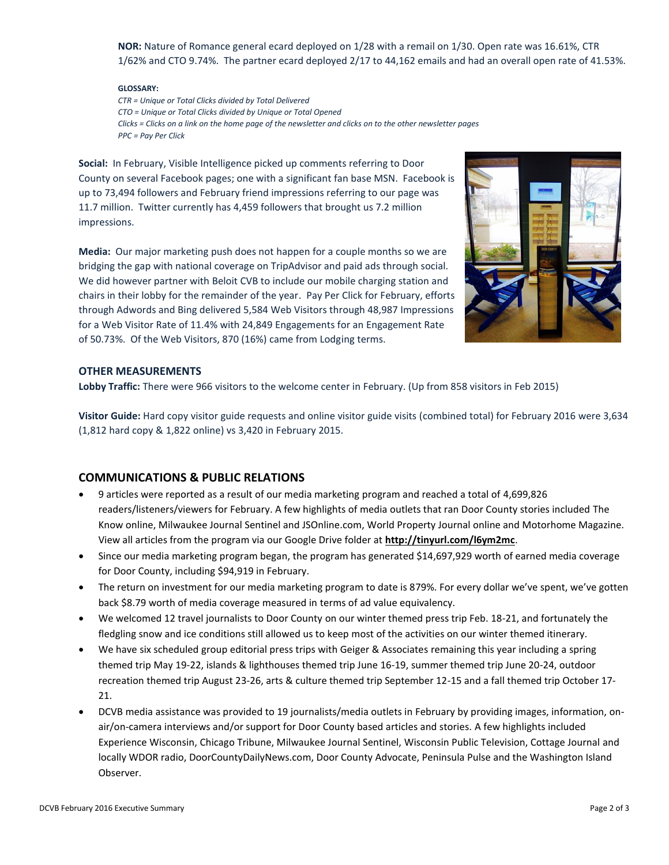**NOR:** Nature of Romance general ecard deployed on 1/28 with a remail on 1/30. Open rate was 16.61%, CTR 1/62% and CTO 9.74%. The partner ecard deployed 2/17 to 44,162 emails and had an overall open rate of 41.53%.

#### **GLOSSARY:**

*CTR = Unique or Total Clicks divided by Total Delivered CTO = Unique or Total Clicks divided by Unique or Total Opened Clicks = Clicks on a link on the home page of the newsletter and clicks on to the other newsletter pages PPC = Pay Per Click* 

**Social:** In February, Visible Intelligence picked up comments referring to Door County on several Facebook pages; one with a significant fan base MSN. Facebook is up to 73,494 followers and February friend impressions referring to our page was 11.7 million. Twitter currently has 4,459 followers that brought us 7.2 million impressions.

**Media:** Our major marketing push does not happen for a couple months so we are bridging the gap with national coverage on TripAdvisor and paid ads through social. We did however partner with Beloit CVB to include our mobile charging station and chairs in their lobby for the remainder of the year. Pay Per Click for February, efforts through Adwords and Bing delivered 5,584 Web Visitors through 48,987 Impressions for a Web Visitor Rate of 11.4% with 24,849 Engagements for an Engagement Rate of 50.73%. Of the Web Visitors, 870 (16%) came from Lodging terms.



#### **OTHER MEASUREMENTS**

**Lobby Traffic:** There were 966 visitors to the welcome center in February. (Up from 858 visitors in Feb 2015)

**Visitor Guide:** Hard copy visitor guide requests and online visitor guide visits (combined total) for February 2016 were 3,634 (1,812 hard copy & 1,822 online) vs 3,420 in February 2015.

## **COMMUNICATIONS & PUBLIC RELATIONS**

- 9 articles were reported as a result of our media marketing program and reached a total of 4,699,826 readers/listeners/viewers for February. A few highlights of media outlets that ran Door County stories included The Know online, Milwaukee Journal Sentinel and JSOnline.com, World Property Journal online and Motorhome Magazine. View all articles from the program via our Google Drive folder at **<http://tinyurl.com/l6ym2mc>**.
- Since our media marketing program began, the program has generated \$14,697,929 worth of earned media coverage for Door County, including \$94,919 in February.
- The return on investment for our media marketing program to date is 879%. For every dollar we've spent, we've gotten back \$8.79 worth of media coverage measured in terms of ad value equivalency.
- We welcomed 12 travel journalists to Door County on our winter themed press trip Feb. 18-21, and fortunately the fledgling snow and ice conditions still allowed us to keep most of the activities on our winter themed itinerary.
- We have six scheduled group editorial press trips with Geiger & Associates remaining this year including a spring themed trip May 19-22, islands & lighthouses themed trip June 16-19, summer themed trip June 20-24, outdoor recreation themed trip August 23-26, arts & culture themed trip September 12-15 and a fall themed trip October 17- 21.
- DCVB media assistance was provided to 19 journalists/media outlets in February by providing images, information, onair/on-camera interviews and/or support for Door County based articles and stories. A few highlights included Experience Wisconsin, Chicago Tribune, Milwaukee Journal Sentinel, Wisconsin Public Television, Cottage Journal and locally WDOR radio, DoorCountyDailyNews.com, Door County Advocate, Peninsula Pulse and the Washington Island Observer.